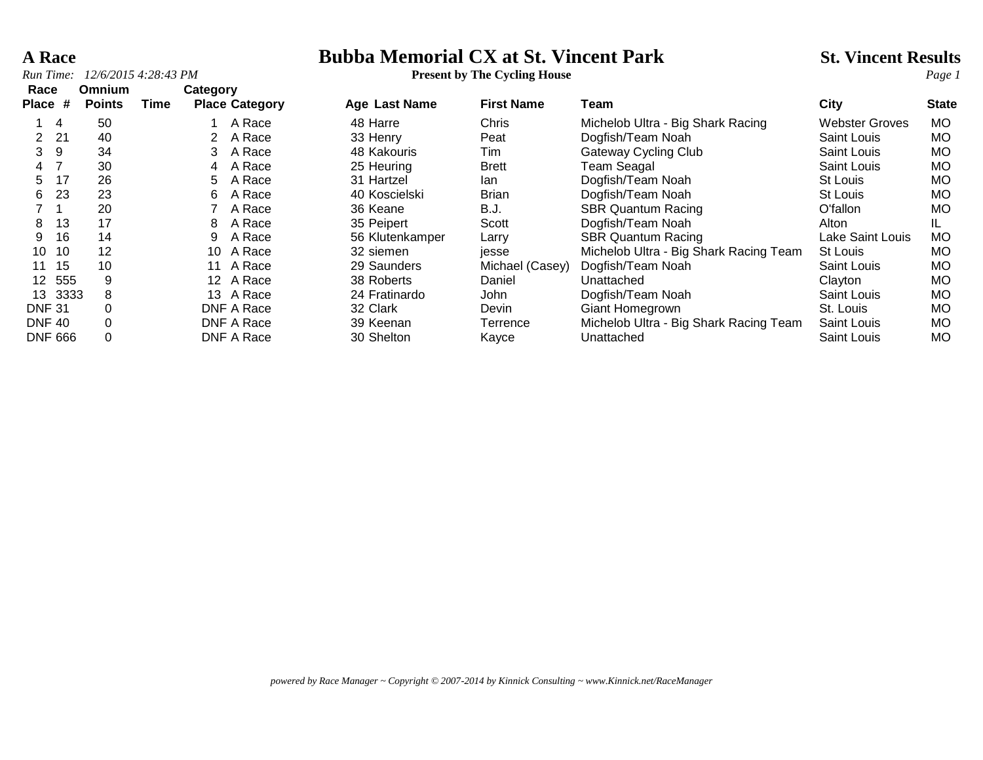### **A Race Bubba Memorial CX at St. Vincent Park** St. Vincent Results<br>*Run Time:* 12/6/2015 4:28:43 PM<br>*Present by The Cycling House*

| Run Time:            |                |                                | 12/6/2015 4:28:43 PM |          |                       | <b>Present by The Cycling House</b> |                   | Page 1                                 |                  |              |
|----------------------|----------------|--------------------------------|----------------------|----------|-----------------------|-------------------------------------|-------------------|----------------------------------------|------------------|--------------|
| Race<br><b>Place</b> | #              | <b>Omnium</b><br><b>Points</b> | Time                 | Category | <b>Place Category</b> | Age Last Name                       | <b>First Name</b> | Team                                   | <b>City</b>      | <b>State</b> |
|                      | 4              | 50                             |                      |          | A Race                | 48 Harre                            | Chris             | Michelob Ultra - Big Shark Racing      | Webster Groves   | MO.          |
| $\overline{2}$       | 21             | 40                             |                      |          | A Race                | 33 Henry                            | Peat              | Dogfish/Team Noah                      | Saint Louis      | MO.          |
| 3                    | -9             | 34                             |                      | 3.       | A Race                | 48 Kakouris                         | Tim               | Gateway Cycling Club                   | Saint Louis      | MO.          |
| $\overline{4}$       |                | 30                             |                      | 4        | A Race                | 25 Heuring                          | <b>Brett</b>      | Team Seagal                            | Saint Louis      | MO.          |
| 5.                   | 17             | 26                             |                      | 5.       | A Race                | 31 Hartzel                          | lan               | Dogfish/Team Noah                      | St Louis         | MO.          |
| 6.                   | 23             | 23                             |                      | 6.       | A Race                | 40 Koscielski                       | <b>Brian</b>      | Dogfish/Team Noah                      | St Louis         | MO.          |
|                      |                | 20                             |                      |          | A Race                | 36 Keane                            | B.J.              | <b>SBR Quantum Racing</b>              | O'fallon         | MO.          |
| 8                    | 13             | 17                             |                      | 8        | A Race                | 35 Peipert                          | Scott             | Dogfish/Team Noah                      | Alton            | IL.          |
| 9                    | 16             | 14                             |                      | 9        | A Race                | 56 Klutenkamper                     | Larry             | <b>SBR Quantum Racing</b>              | Lake Saint Louis | MO.          |
| 10                   | 10             | 12                             |                      | 10       | A Race                | 32 siemen                           | jesse             | Michelob Ultra - Big Shark Racing Team | St Louis         | MO.          |
| 11                   | 15             | 10                             |                      | 11       | A Race                | 29 Saunders                         | Michael (Casey)   | Dogfish/Team Noah                      | Saint Louis      | MO.          |
|                      | 12 555         | 9                              |                      |          | 12 A Race             | 38 Roberts                          | Daniel            | Unattached                             | Clayton          | MO.          |
| 13                   | 3333           | 8                              |                      | 13       | A Race                | 24 Fratinardo                       | John              | Dogfish/Team Noah                      | Saint Louis      | MO.          |
| <b>DNF 31</b>        |                |                                |                      |          | DNF A Race            | 32 Clark                            | Devin             | Giant Homegrown                        | St. Louis        | MO.          |
| <b>DNF 40</b>        |                |                                |                      |          | <b>DNF A Race</b>     | 39 Keenan                           | Terrence          | Michelob Ultra - Big Shark Racing Team | Saint Louis      | MO.          |
|                      | <b>DNF 666</b> |                                |                      |          | DNF A Race            | 30 Shelton                          | Kayce             | Unattached                             | Saint Louis      | <b>MO</b>    |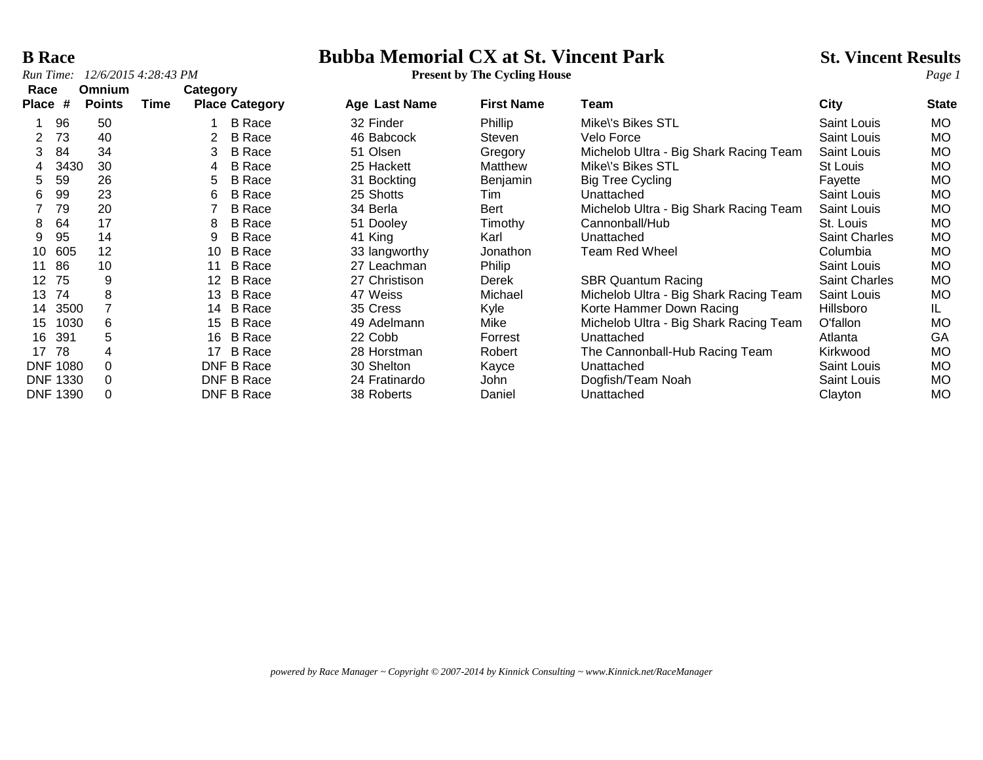**B Race**<br> **Bubba Memorial CX at St. Vincent Park** St. Vincent Results<br> **Bubba Memorial CX at St. Vincent Park** St. Vincent Results<br> **Page 1 Present by The Cycling House** 

| Race                 |      | Omnium        |      | Category |                       |               |                   |                                        |                      |              |
|----------------------|------|---------------|------|----------|-----------------------|---------------|-------------------|----------------------------------------|----------------------|--------------|
| Place                | #    | <b>Points</b> | Time |          | <b>Place Category</b> | Age Last Name | <b>First Name</b> | Team                                   | City                 | <b>State</b> |
|                      | 96   | 50            |      |          | <b>B</b> Race         | 32 Finder     | Phillip           | Mike\'s Bikes STL                      | <b>Saint Louis</b>   | MO.          |
| $\mathbf{2}^{\circ}$ | 73   | 40            |      | 2        | <b>B</b> Race         | 46 Babcock    | Steven            | Velo Force                             | Saint Louis          | MO.          |
| 3                    | 84   | 34            |      | 3        | <b>B</b> Race         | 51 Olsen      | Gregory           | Michelob Ultra - Big Shark Racing Team | Saint Louis          | MO.          |
|                      | 3430 | 30            |      | 4        | <b>B</b> Race         | 25 Hackett    | Matthew           | Mike\'s Bikes STL                      | St Louis             | MO.          |
| 5                    | 59   | 26            |      | 5        | <b>B</b> Race         | 31 Bockting   | Benjamin          | Big Tree Cycling                       | Fayette              | MO.          |
| 6                    | 99   | 23            |      | 6        | <b>B</b> Race         | 25 Shotts     | Tim               | Unattached                             | Saint Louis          | MO.          |
|                      | 79   | 20            |      |          | <b>B</b> Race         | 34 Berla      | Bert              | Michelob Ultra - Big Shark Racing Team | Saint Louis          | MO.          |
| 8                    | 64   | 17            |      | 8        | <b>B</b> Race         | 51 Dooley     | Timothy           | Cannonball/Hub                         | St. Louis            | MO.          |
| 9                    | 95   | 14            |      | 9        | <b>B</b> Race         | 41 King       | Karl              | Unattached                             | <b>Saint Charles</b> | MO.          |
| 10                   | 605  | 12            |      | 10       | <b>B</b> Race         | 33 langworthy | Jonathon          | Team Red Wheel                         | Columbia             | MO.          |
| 11                   | 86   | 10            |      | 11       | <b>B</b> Race         | 27 Leachman   | Philip            |                                        | Saint Louis          | MO.          |
| 12 <sup>2</sup>      | 75   | 9             |      | $12 \,$  | <b>B</b> Race         | 27 Christison | Derek             | <b>SBR Quantum Racing</b>              | Saint Charles        | <b>MO</b>    |
| 13                   | 74   | 8             |      | 13       | <b>B</b> Race         | 47 Weiss      | Michael           | Michelob Ultra - Big Shark Racing Team | Saint Louis          | MO.          |
| 14                   | 3500 |               |      | 14       | <b>B</b> Race         | 35 Cress      | Kyle              | Korte Hammer Down Racing               | Hillsboro            | IL.          |
| 15                   | 1030 | 6             |      | 15       | <b>B</b> Race         | 49 Adelmann   | Mike              | Michelob Ultra - Big Shark Racing Team | O'fallon             | MO.          |
| 16                   | 391  | 5             |      | 16       | <b>B</b> Race         | 22 Cobb       | Forrest           | Unattached                             | Atlanta              | GA           |
| 17                   | 78   | 4             |      | 17       | <b>B</b> Race         | 28 Horstman   | Robert            | The Cannonball-Hub Racing Team         | Kirkwood             | MO.          |
| <b>DNF 1080</b>      |      | $\Omega$      |      |          | DNF B Race            | 30 Shelton    | Kayce             | Unattached                             | <b>Saint Louis</b>   | MO.          |
| <b>DNF 1330</b>      |      | 0             |      |          | DNF B Race            | 24 Fratinardo | John              | Dogfish/Team Noah                      | Saint Louis          | MO.          |
| <b>DNF 1390</b>      |      | 0             |      |          | DNF B Race            | 38 Roberts    | Daniel            | Unattached                             | Clayton              | <b>MO</b>    |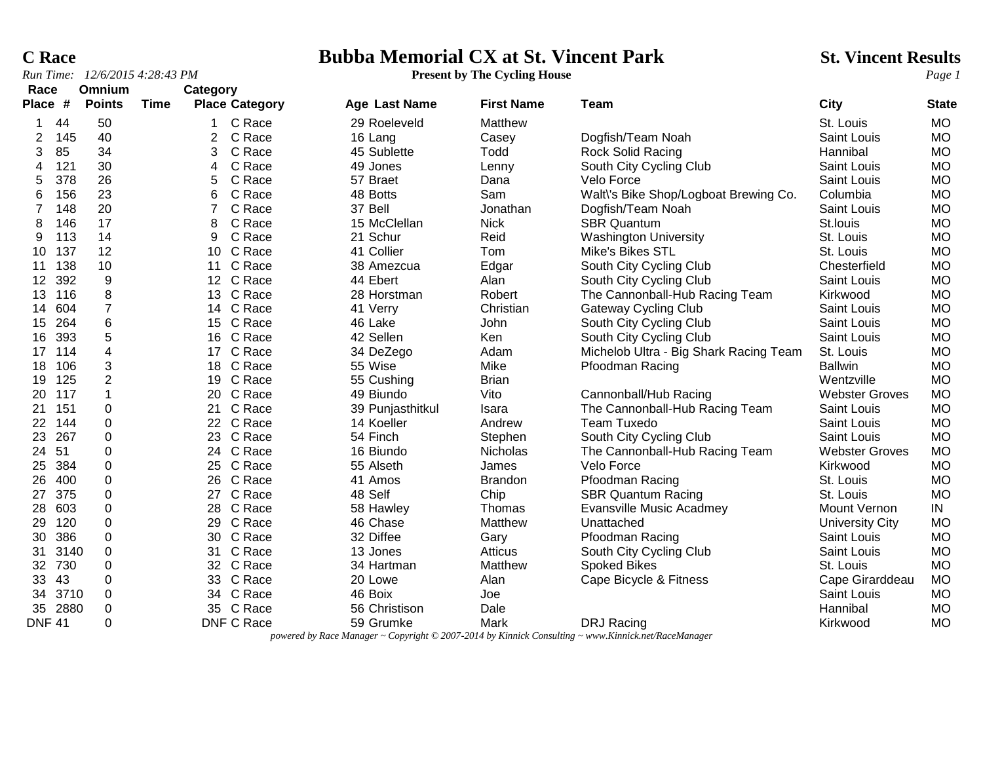### **C Race**<br> **Bubba Memorial CX at St. Vincent Park** St. Vincent Results<br> **Page 1** Present by The Cycling House Page 1

|                 |      | Run Time: 12/6/2015 4:28:43 PM |             |                |                       |                  | <b>Present by The Cycling House</b> |                                        | Page 1                |              |  |
|-----------------|------|--------------------------------|-------------|----------------|-----------------------|------------------|-------------------------------------|----------------------------------------|-----------------------|--------------|--|
| Race            |      | Omnium                         |             | Category       |                       |                  |                                     |                                        |                       |              |  |
| Place #         |      | <b>Points</b>                  | <b>Time</b> |                | <b>Place Category</b> | Age Last Name    | <b>First Name</b>                   | <b>Team</b>                            | <b>City</b>           | <b>State</b> |  |
| 1               | 44   | 50                             |             |                | C Race                | 29 Roeleveld     | Matthew                             |                                        | St. Louis             | <b>MO</b>    |  |
| $\overline{2}$  | 145  | 40                             |             | $\overline{2}$ | C Race                | 16 Lang          | Casey                               | Dogfish/Team Noah                      | Saint Louis           | <b>MO</b>    |  |
| 3               | 85   | 34                             |             | 3              | C Race                | 45 Sublette      | Todd                                | Rock Solid Racing                      | Hannibal              | <b>MO</b>    |  |
| 4               | 121  | 30                             |             | 4              | C Race                | 49 Jones         | Lenny                               | South City Cycling Club                | Saint Louis           | <b>MO</b>    |  |
| 5               | 378  | 26                             |             | 5              | C Race                | 57 Braet         | Dana                                | Velo Force                             | Saint Louis           | <b>MO</b>    |  |
| 6               | 156  | 23                             |             | 6              | C Race                | 48 Botts         | Sam                                 | Walt\'s Bike Shop/Logboat Brewing Co.  | Columbia              | <b>MO</b>    |  |
| $\overline{7}$  | 148  | 20                             |             |                | C Race                | 37 Bell          | Jonathan                            | Dogfish/Team Noah                      | Saint Louis           | <b>MO</b>    |  |
| 8               | 146  | 17                             |             | 8              | C Race                | 15 McClellan     | <b>Nick</b>                         | <b>SBR Quantum</b>                     | St.louis              | <b>MO</b>    |  |
| 9               | 113  | 14                             |             | 9              | C Race                | 21 Schur         | Reid                                | <b>Washington University</b>           | St. Louis             | <b>MO</b>    |  |
| 10 <sup>°</sup> | 137  | 12                             |             |                | 10 C Race             | 41 Collier       | Tom                                 | Mike's Bikes STL                       | St. Louis             | <b>MO</b>    |  |
| 11              | 138  | 10                             |             |                | 11 C Race             | 38 Amezcua       | Edgar                               | South City Cycling Club                | Chesterfield          | <b>MO</b>    |  |
| $12 \,$         | 392  | 9                              |             |                | 12 C Race             | 44 Ebert         | Alan                                | South City Cycling Club                | Saint Louis           | <b>MO</b>    |  |
| 13              | 116  | 8                              |             |                | 13 C Race             | 28 Horstman      | Robert                              | The Cannonball-Hub Racing Team         | Kirkwood              | <b>MO</b>    |  |
| 14              | 604  | $\overline{7}$                 |             |                | 14 C Race             | 41 Verry         | Christian                           | <b>Gateway Cycling Club</b>            | Saint Louis           | <b>MO</b>    |  |
| 15              | 264  | 6                              |             | 15             | C Race                | 46 Lake          | John                                | South City Cycling Club                | Saint Louis           | <b>MO</b>    |  |
| 16              | 393  | $\mathbf 5$                    |             |                | 16 C Race             | 42 Sellen        | Ken                                 | South City Cycling Club                | Saint Louis           | <b>MO</b>    |  |
| 17              | 114  | 4                              |             |                | 17 C Race             | 34 DeZego        | Adam                                | Michelob Ultra - Big Shark Racing Team | St. Louis             | <b>MO</b>    |  |
| 18              | 106  | 3                              |             |                | 18 C Race             | 55 Wise          | Mike                                | Pfoodman Racing                        | <b>Ballwin</b>        | <b>MO</b>    |  |
| 19              | 125  | $\overline{2}$                 |             | 19             | C Race                | 55 Cushing       | <b>Brian</b>                        |                                        | Wentzville            | <b>MO</b>    |  |
| 20              | 117  | $\mathbf 1$                    |             | 20             | C Race                | 49 Biundo        | Vito                                | Cannonball/Hub Racing                  | <b>Webster Groves</b> | <b>MO</b>    |  |
| 21              | 151  | 0                              |             | 21             | C Race                | 39 Punjasthitkul | Isara                               | The Cannonball-Hub Racing Team         | Saint Louis           | <b>MO</b>    |  |
| 22              | 144  | 0                              |             |                | 22 C Race             | 14 Koeller       | Andrew                              | <b>Team Tuxedo</b>                     | Saint Louis           | <b>MO</b>    |  |
| 23              | 267  | 0                              |             | 23             | C Race                | 54 Finch         | Stephen                             | South City Cycling Club                | Saint Louis           | <b>MO</b>    |  |
| 24              | 51   | $\mathbf 0$                    |             |                | 24 C Race             | 16 Biundo        | <b>Nicholas</b>                     | The Cannonball-Hub Racing Team         | <b>Webster Groves</b> | <b>MO</b>    |  |
| 25              | 384  | $\mathbf 0$                    |             | 25             | C Race                | 55 Alseth        | James                               | Velo Force                             | Kirkwood              | <b>MO</b>    |  |
| 26              | 400  | $\mathbf 0$                    |             |                | 26 C Race             | 41 Amos          | <b>Brandon</b>                      | Pfoodman Racing                        | St. Louis             | <b>MO</b>    |  |
| 27              | 375  | $\mathbf 0$                    |             | 27             | C Race                | 48 Self          | Chip                                | <b>SBR Quantum Racing</b>              | St. Louis             | <b>MO</b>    |  |
| 28              | 603  | $\Omega$                       |             | 28             | C Race                | 58 Hawley        | Thomas                              | <b>Evansville Music Acadmey</b>        | Mount Vernon          | IN           |  |
| 29              | 120  | 0                              |             | 29             | C Race                | 46 Chase         | Matthew                             | Unattached                             | University City       | <b>MO</b>    |  |
| 30              | 386  | 0                              |             |                | 30 C Race             | 32 Diffee        | Gary                                | Pfoodman Racing                        | Saint Louis           | <b>MO</b>    |  |
| 31              | 3140 | $\Omega$                       |             | 31             | C Race                | 13 Jones         | Atticus                             | South City Cycling Club                | Saint Louis           | <b>MO</b>    |  |
| 32              | 730  | 0                              |             |                | 32 C Race             | 34 Hartman       | Matthew                             | <b>Spoked Bikes</b>                    | St. Louis             | <b>MO</b>    |  |
| 33              | 43   | $\mathbf 0$                    |             |                | 33 C Race             | 20 Lowe          | Alan                                | Cape Bicycle & Fitness                 | Cape Girarddeau       | <b>MO</b>    |  |
| 34              | 3710 | 0                              |             | 34             | C Race                | 46 Boix          | Joe                                 |                                        | Saint Louis           | <b>MO</b>    |  |
| 35              | 2880 | $\Omega$                       |             | 35             | C Race                | 56 Christison    | Dale                                |                                        | Hannibal              | <b>MO</b>    |  |

DNF 41 0 DNF C Race 59 Grumke Mark DRJ Racing Kirkwood MO *powered by Race Manager ~ Copyright © 2007-2014 by Kinnick Consulting ~ www.Kinnick.net/RaceManager*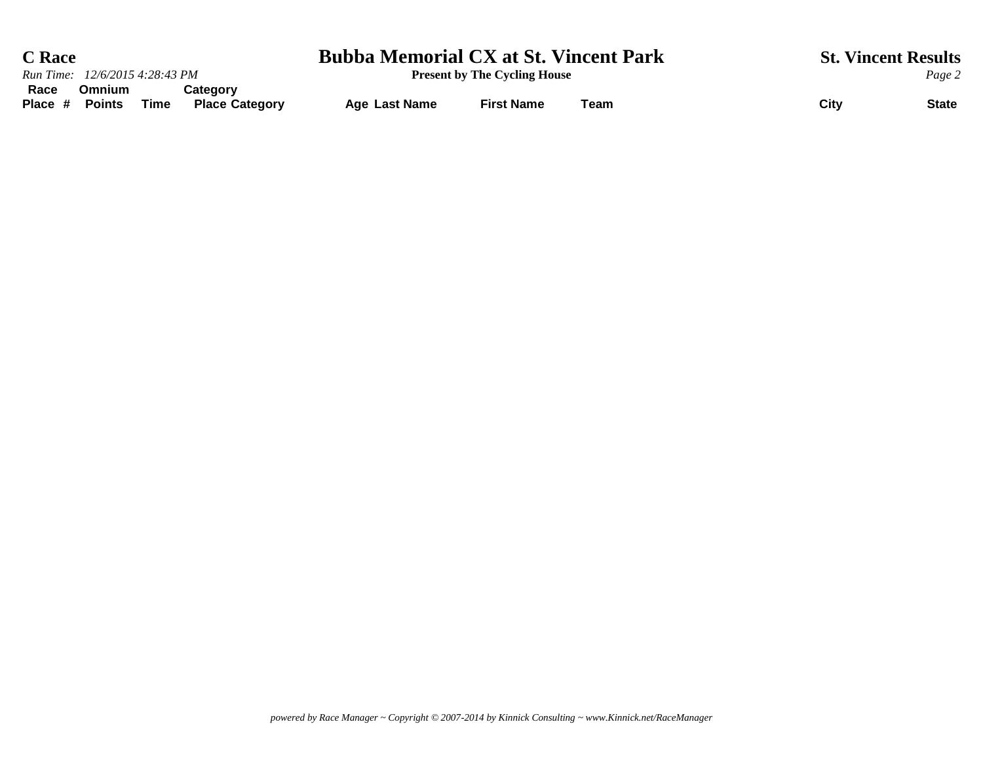| <b>C</b> Race                                                                                  | <b>Bubba Memorial CX at St. Vincent Park</b> |                                     | <b>St. Vincent Results</b> |        |              |  |
|------------------------------------------------------------------------------------------------|----------------------------------------------|-------------------------------------|----------------------------|--------|--------------|--|
| Run Time: 12/6/2015 4:28:43 PM                                                                 |                                              | <b>Present by The Cycling House</b> |                            | Page 2 |              |  |
| Race<br>Category<br><b>Omnium</b><br><b>Points</b><br>Place #<br>Time<br><b>Place Category</b> | Age Last Name                                | <b>First Name</b>                   | Team                       | City   | <b>State</b> |  |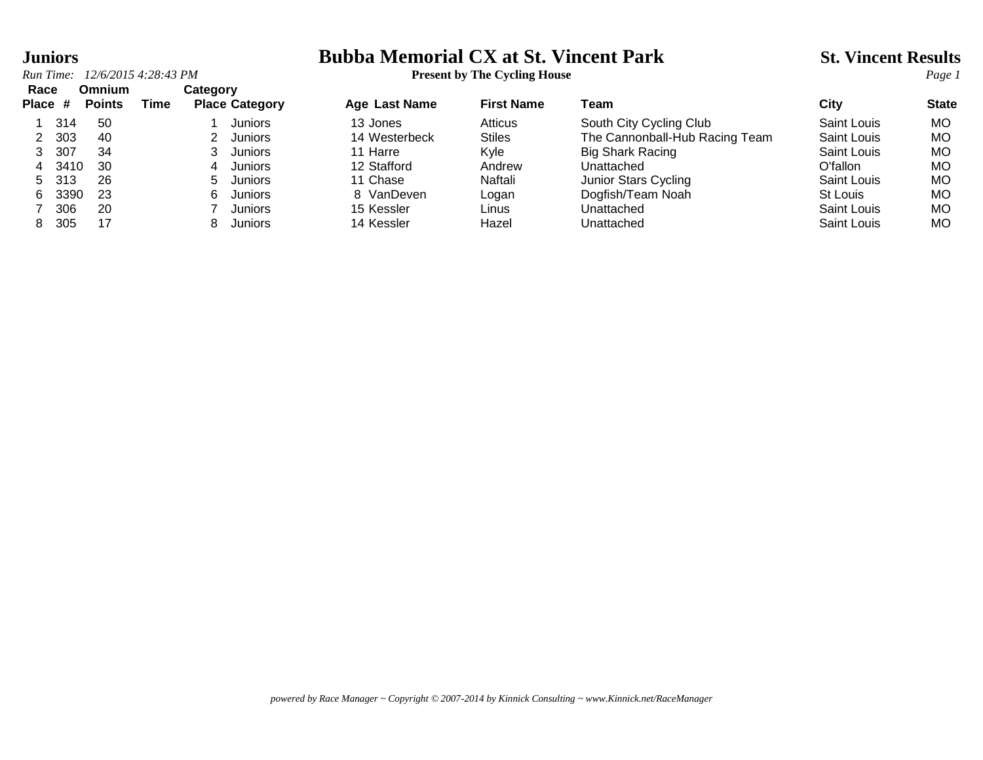### **Juniors Bubba Memorial CX at St. Vincent Park St. Vincent Results**

|         | 12/6/2015 4:28:43 PM<br>Run Time: |               |      |          |                       |                      | <b>Present by The Cycling House</b> |                                |             |              |  |
|---------|-----------------------------------|---------------|------|----------|-----------------------|----------------------|-------------------------------------|--------------------------------|-------------|--------------|--|
| Race    |                                   | <b>Omnium</b> |      | Category |                       |                      |                                     |                                |             |              |  |
| Place # |                                   | <b>Points</b> | Time |          | <b>Place Category</b> | <b>Age Last Name</b> | <b>First Name</b>                   | Team                           | Citv        | <b>State</b> |  |
|         | 314                               | -50           |      |          | Juniors               | 13 Jones             | <b>Atticus</b>                      | South City Cycling Club        | Saint Louis | MO.          |  |
|         | 303                               | 40            |      |          | Juniors               | 14 Westerbeck        | <b>Stiles</b>                       | The Cannonball-Hub Racing Team | Saint Louis | МO           |  |
| 3       | 307                               | 34            |      |          | Juniors               | 11 Harre             | <b>K</b> vle                        | <b>Big Shark Racing</b>        | Saint Louis | MO           |  |
| 4       | 3410                              | -30           |      | 4        | Juniors               | 12 Stafford          | Andrew                              | Unattached                     | O'fallon    | МO           |  |
| 5       | 313                               | 26            |      | 5.       | Juniors               | 11 Chase             | Naftali                             | Junior Stars Cycling           | Saint Louis | MO           |  |
| 6.      | 3390                              | 23            |      | 6.       | Juniors               | 8 VanDeven           | Logan                               | Dogfish/Team Noah              | St Louis    | МO           |  |
|         | 306                               | 20            |      |          | Juniors               | 15 Kessler           | Linus                               | Unattached                     | Saint Louis | МO           |  |
| 8.      | 305                               | 17            |      | 8.       | Juniors               | 14 Kessler           | Hazel                               | Unattached                     | Saint Louis | MO.          |  |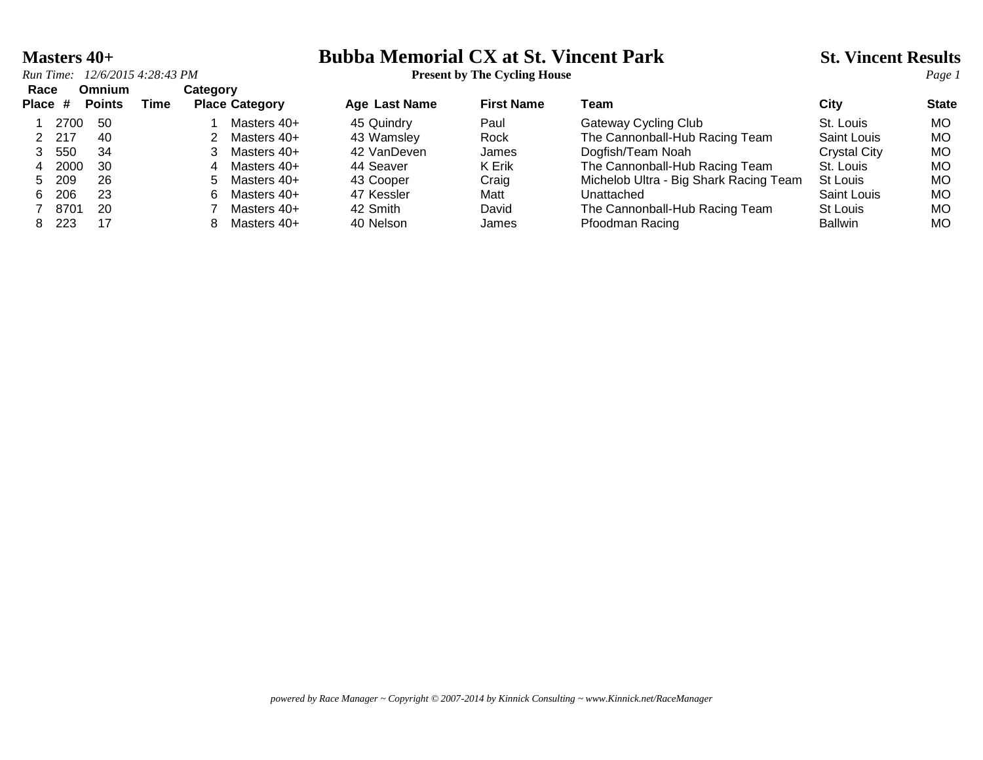### **Masters 40+ Bubba Memorial CX at St. Vincent Park** St. Vincent Results<br>*Run Time:* 12/6/2015 4:28:43 PM<br>*Present by The Cycling House*

| Run Time: 12/6/2015 4:28:43 PM | <b>Present by The Cycling House</b> |
|--------------------------------|-------------------------------------|
|                                |                                     |

| Race<br>Place # |       | Omnium<br><b>Points</b> | Time | Category | <b>Place Category</b> | <b>Age Last Name</b> | <b>First Name</b> | Team                                   | City                | <b>State</b> |
|-----------------|-------|-------------------------|------|----------|-----------------------|----------------------|-------------------|----------------------------------------|---------------------|--------------|
|                 | 2700  | -50                     |      |          | Masters 40+           | 45 Quindry           | Paul              | Gateway Cycling Club                   | St. Louis           | MO.          |
|                 | 2 217 | -40                     |      |          | Masters 40+           | 43 Wamsley           | Rock              | The Cannonball-Hub Racing Team         | <b>Saint Louis</b>  | MO           |
|                 | 550   | 34                      |      |          | Masters 40+           | 42 VanDeven          | James             | Dogfish/Team Noah                      | <b>Crystal City</b> | MO           |
| 4               | 2000  | -30                     |      | 4        | Masters 40+           | 44 Seaver            | K Erik            | The Cannonball-Hub Racing Team         | St. Louis           | MO           |
| 5.              | 209   | 26                      |      | 5.       | Masters 40+           | 43 Cooper            | Craig             | Michelob Ultra - Big Shark Racing Team | St Louis            | MO.          |
| 6.              | 206   | 23                      |      | 6.       | Masters 40+           | 47 Kessler           | Matt              | Unattached                             | Saint Louis         | MO           |
|                 | 8701  | -20                     |      |          | Masters 40+           | 42 Smith             | David             | The Cannonball-Hub Racing Team         | St Louis            | MO           |
|                 | 223   | 17                      |      |          | Masters 40+           | 40 Nelson            | James             | Pfoodman Racing                        | <b>Ballwin</b>      | MO           |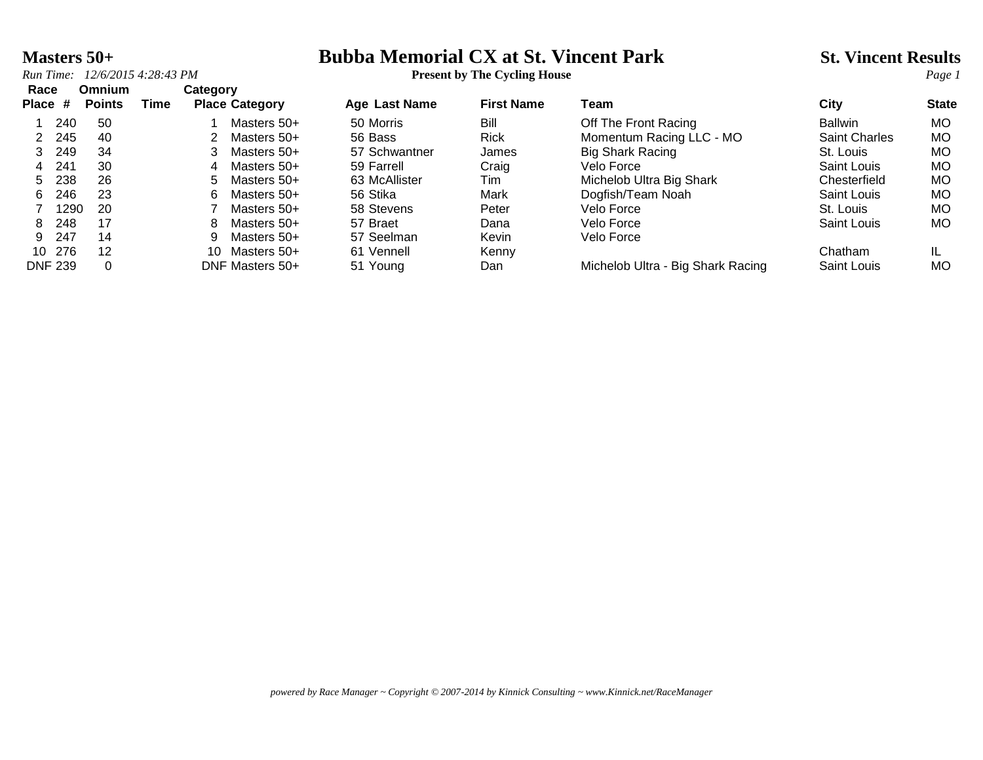*Run Time:*  $12/6/20154:28:43 PM$  **Present by The Cycling House** 

# **Masters 50+ Bubba Memorial CX at St. Vincent Park** St. Vincent Results<br>*Run Time:* 12/6/2015 4:28:43 PM<br>*Page 1*

| Race      |                | <b>Omnium</b> |      | Category |                       |                      |                   |                                   |                      |              |
|-----------|----------------|---------------|------|----------|-----------------------|----------------------|-------------------|-----------------------------------|----------------------|--------------|
| Place $#$ |                | <b>Points</b> | Time |          | <b>Place Category</b> | <b>Age Last Name</b> | <b>First Name</b> | Team                              | City                 | <b>State</b> |
|           | 240            | -50           |      |          | Masters 50+           | 50 Morris            | Bill              | Off The Front Racing              | <b>Ballwin</b>       | MO.          |
|           | 245            | 40            |      |          | Masters 50+           | 56 Bass              | <b>Rick</b>       | Momentum Racing LLC - MO          | <b>Saint Charles</b> | MO.          |
| 3         | 249            | 34            |      |          | Masters 50+           | 57 Schwantner        | James             | <b>Big Shark Racing</b>           | St. Louis            | <b>MO</b>    |
| 4         | 241            | 30            |      | 4        | Masters 50+           | 59 Farrell           | Craig             | Velo Force                        | Saint Louis          | MO.          |
| 5         | 238            | 26            |      | 5.       | Masters 50+           | 63 McAllister        | Tim               | Michelob Ultra Big Shark          | Chesterfield         | MO.          |
| 6         | 246            | 23            |      | 6.       | Masters 50+           | 56 Stika             | Mark              | Dogfish/Team Noah                 | Saint Louis          | MO.          |
|           | 1290           | -20           |      |          | Masters 50+           | 58 Stevens           | Peter             | Velo Force                        | St. Louis            | MO.          |
| 8         | 248            | 17            |      | 8        | Masters 50+           | 57 Braet             | Dana              | Velo Force                        | Saint Louis          | MO.          |
| 9         | 247            | 14            |      | 9        | Masters 50+           | 57 Seelman           | Kevin             | Velo Force                        |                      |              |
| 10        | 276            | 12            |      | 10.      | Masters 50+           | 61 Vennell           | Kenny             |                                   | Chatham              |              |
|           | <b>DNF 239</b> | $\Omega$      |      |          | DNF Masters 50+       | 51 Young             | Dan               | Michelob Ultra - Big Shark Racing | Saint Louis          | MO           |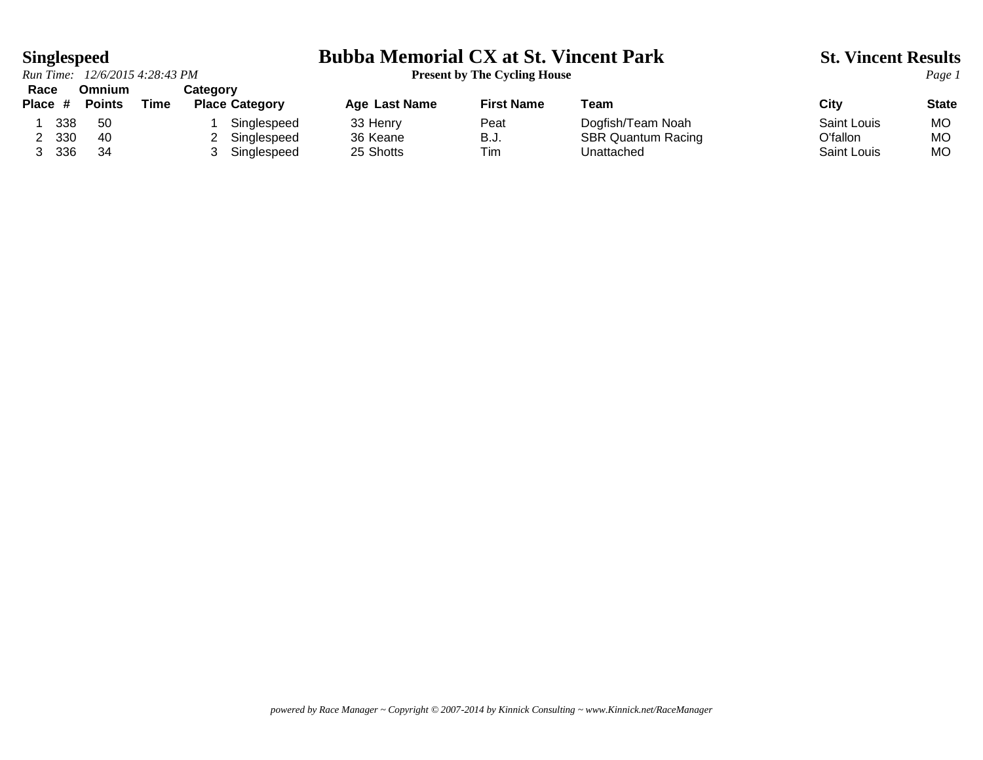*Run Time: 12/6/2015 4:28:43 PM* **Present by The Cycling House** *Page 1* **Race Omnium Category**

### **Singlespeed Bubba Memorial CX at St. Vincent Park St. Vincent Results**

**Place # Points Time Place Category Age Last Name First Name Team City State** 1 338 50 1 Singlespeed 33 Henry 1 Peat Dogfish/Team Noah Saint Louis MO<br>1 330 40 2 Singlespeed 36 Keane 1 B.J. SBR Quantum Racing 1 O'fallon MO 40 2 Singlespeed 36 Keane B.J. SBR Quantum Racing C'fallon MO 3 336 34 3 Singlespeed 25 Shotts Tim Unattached Saint Louis MO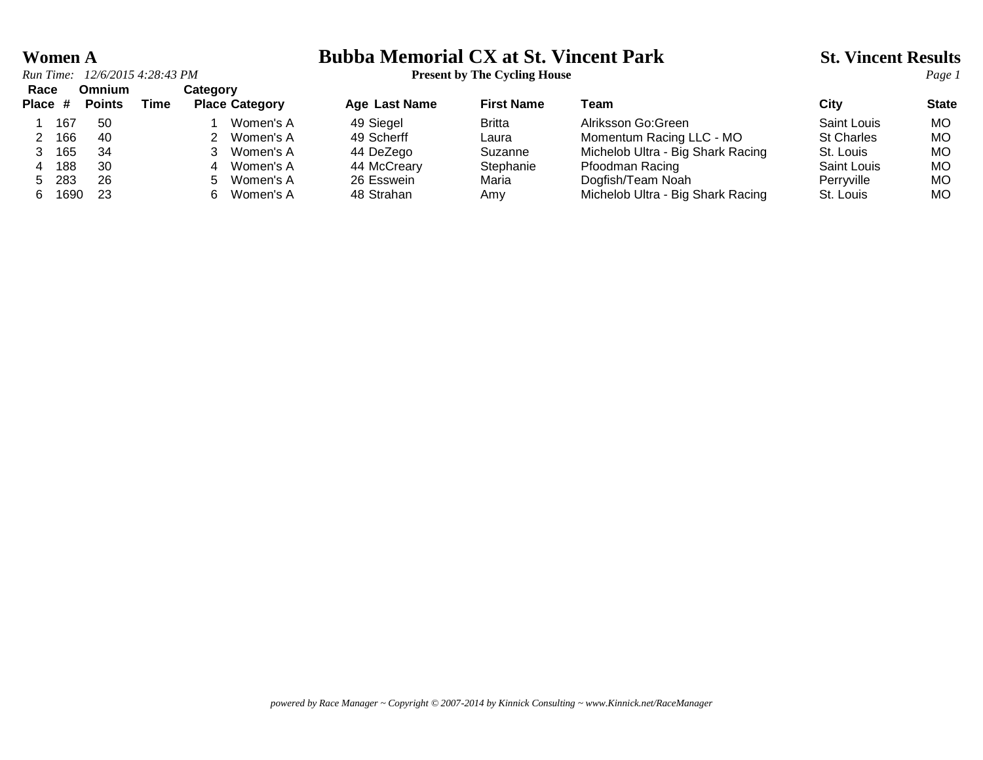*Run Time:*  $12/6/20154:28:43 PM$ <br>**Present by The Cycling House**<br>**Page Omnium Category Race Omnium Category**

# **Women A**<br> **Bubba Memorial CX at St. Vincent Park** St. Vincent Results<br> **Present by The Cycling House**

| nave    |      | ummum         |      | <b>UALGYVI</b> Y           |               |                   |                                   |                   |              |
|---------|------|---------------|------|----------------------------|---------------|-------------------|-----------------------------------|-------------------|--------------|
| Place # |      | <b>Points</b> | Time | <b>Place Category</b>      | Age Last Name | <b>First Name</b> | Геаm                              | Citv              | <b>State</b> |
|         | 167  | -50           |      | Women's A                  | 49 Siegel     | <b>Britta</b>     | Alriksson Go:Green                | Saint Louis       | МO           |
|         | 166  | -40           |      | Women's A                  | 49 Scherff    | Laura             | Momentum Racing LLC - MO          | <b>St Charles</b> | МO           |
|         | 165  | 34            |      | Women's A                  | 44 DeZego     | Suzanne           | Michelob Ultra - Big Shark Racing | St. Louis         | МO           |
|         | 188  | 30            |      | Women's A                  | 44 McCreary   | Stephanie         | Pfoodman Racing                   | Saint Louis       | МC           |
| 5       | 283  | 26            |      | Women's A<br>$\mathcal{L}$ | 26 Esswein    | Maria             | Dogfish/Team Noah                 | Perrvville        | МO           |
| 6.      | 1690 | -23           |      | Women's A                  | 48 Strahan    | Amy               | Michelob Ultra - Big Shark Racing | St. Louis         | MО           |
|         |      |               |      |                            |               |                   |                                   |                   |              |

*powered by Race Manager ~ Copyright © 2007-2014 by Kinnick Consulting ~ www.Kinnick.net/RaceManager*